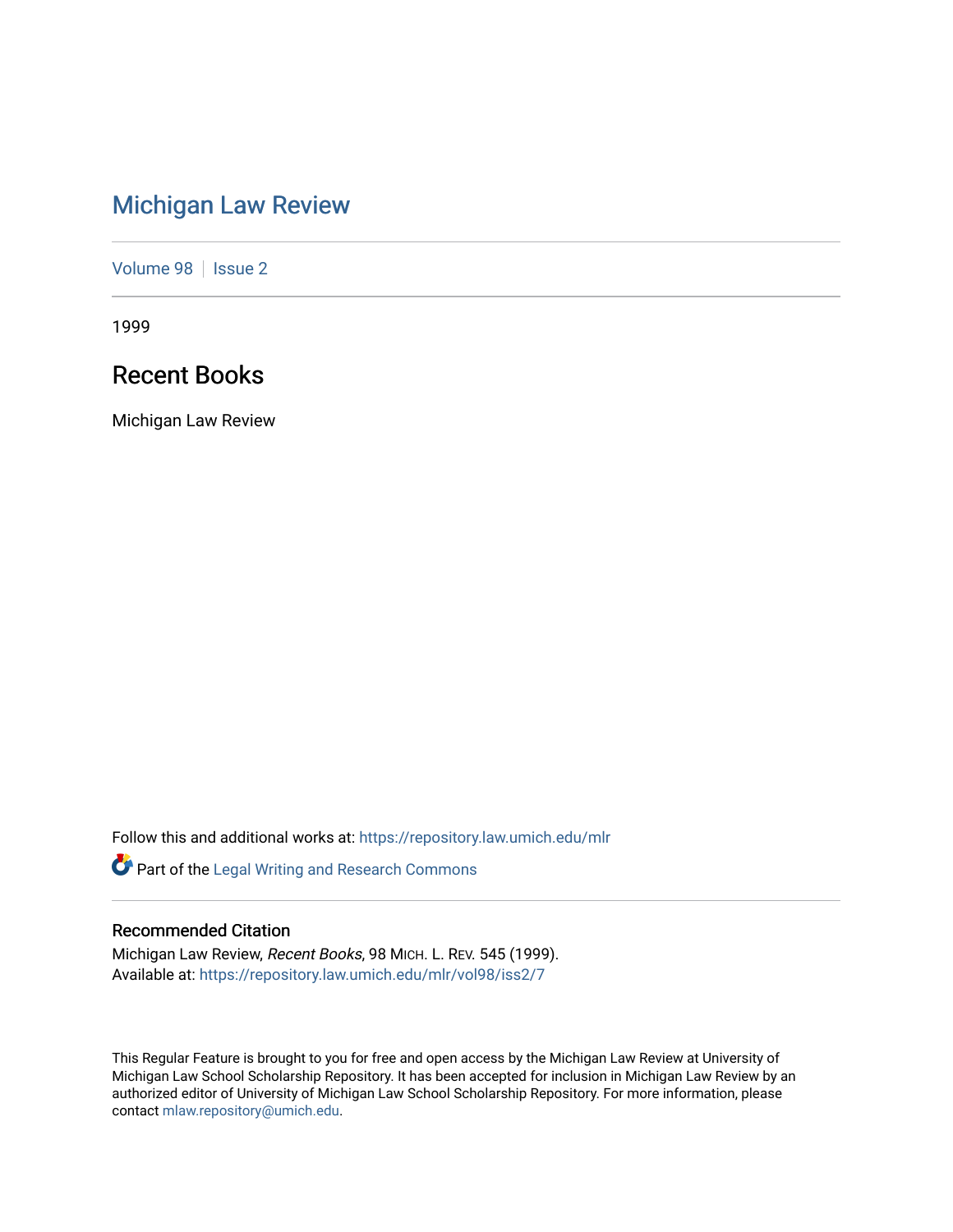# [Michigan Law Review](https://repository.law.umich.edu/mlr)

[Volume 98](https://repository.law.umich.edu/mlr/vol98) | [Issue 2](https://repository.law.umich.edu/mlr/vol98/iss2)

1999

## Recent Books

Michigan Law Review

Follow this and additional works at: [https://repository.law.umich.edu/mlr](https://repository.law.umich.edu/mlr?utm_source=repository.law.umich.edu%2Fmlr%2Fvol98%2Fiss2%2F7&utm_medium=PDF&utm_campaign=PDFCoverPages) 

Part of the [Legal Writing and Research Commons](http://network.bepress.com/hgg/discipline/614?utm_source=repository.law.umich.edu%2Fmlr%2Fvol98%2Fiss2%2F7&utm_medium=PDF&utm_campaign=PDFCoverPages) 

### Recommended Citation

Michigan Law Review, Recent Books, 98 MICH. L. REV. 545 (1999). Available at: [https://repository.law.umich.edu/mlr/vol98/iss2/7](https://repository.law.umich.edu/mlr/vol98/iss2/7?utm_source=repository.law.umich.edu%2Fmlr%2Fvol98%2Fiss2%2F7&utm_medium=PDF&utm_campaign=PDFCoverPages)

This Regular Feature is brought to you for free and open access by the Michigan Law Review at University of Michigan Law School Scholarship Repository. It has been accepted for inclusion in Michigan Law Review by an authorized editor of University of Michigan Law School Scholarship Repository. For more information, please contact [mlaw.repository@umich.edu](mailto:mlaw.repository@umich.edu).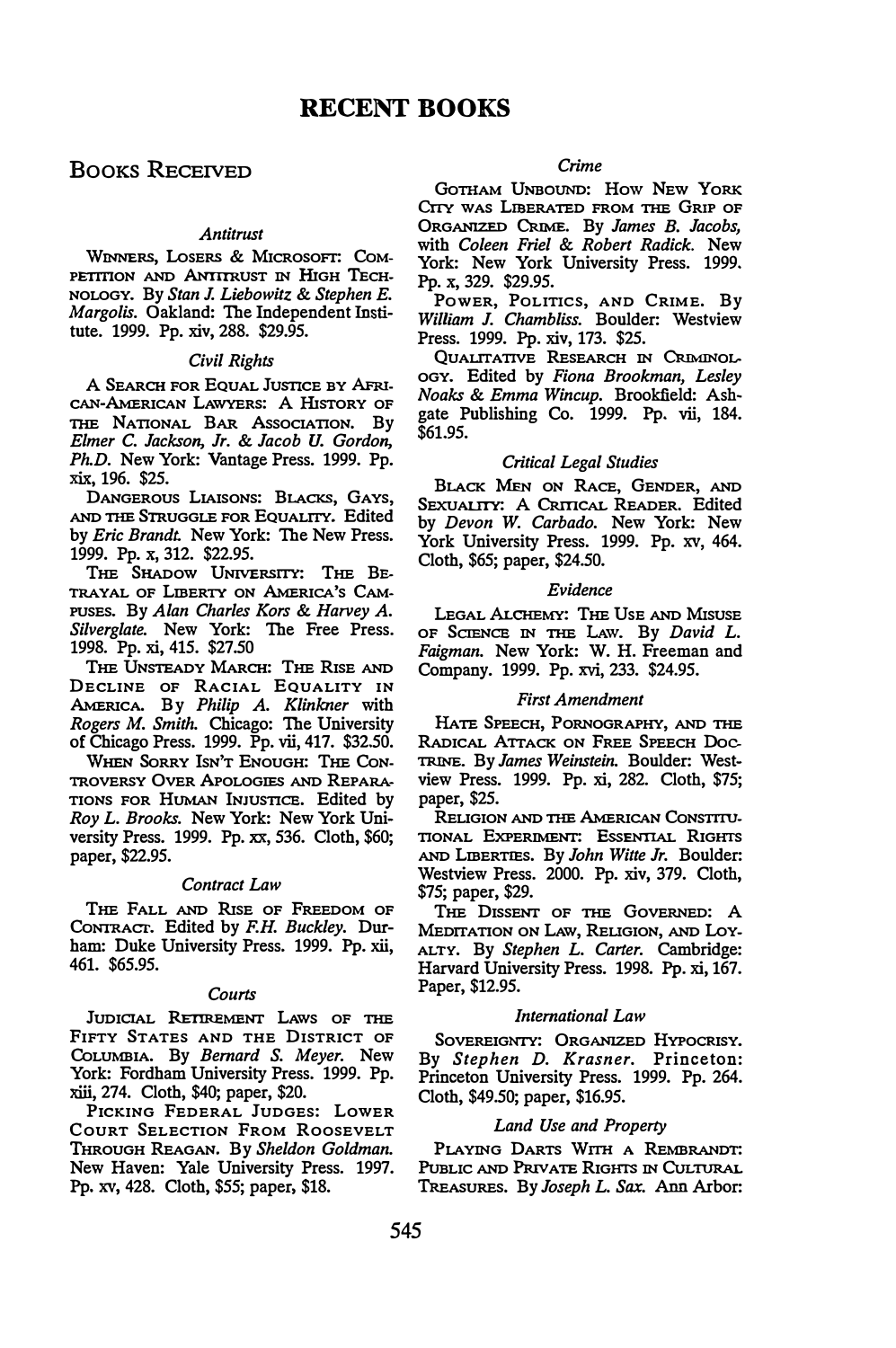### BOOKS RECEIVED

#### Antitrust

WINNERS, LosERS & MICROSOFT: CoM-PETITION AND ANTITRUST IN HIGH TECH-NOLOGY. By Stan J. Liebowitz & Stephen E. Margolis. Oakland: The Independent Institute. 1999. Pp. xiv, 288. \$29.95.

#### Civil Rights

A SEARCH FOR EQUAL JusnCE BY AFru-CAN-AMERICAN LAWYERS: A HISTORY OF THE NATIONAL BAR Association. By Elmer C. Jackson, Jr. & Jacob U. Gordon, Ph.D. New York: Vantage Press. 1999. Pp. xix, 196. \$25.

DANGEROUS LIAISONS: BLACKS, GAYS, AND THE STRUGGLE FOR EQUALITY. Edited by Eric Brandt. New York: The New Press. 1999. Pp. x, 312. \$22.95.

THE SHADOW UNIVERSITY: THE BE-TRAYAL OF LIBERTY ON AMERICA'S CAM-PUSES. By Alan Charles Kors & Harvey A. Silverglate. New York: The Free Press. 1998. Pp. xi, 415. \$27.50

THE UNSTEADY MARCH: THE RISE AND DECLINE OF RACIAL EQUALITY IN AMERICA. By Philip A. Klinkner with Rogers M. Smith. Chicago: The University of Chicago Press. 1999. Pp. vii, 417. \$32.50.

WHEN SORRY ISN'T ENOUGH: THE CON-TROVERSY OVER APOLOGIES AND REPARA-TIONS FOR HUMAN INJUSTICE. Edited by Roy L. Brooks. New York: New York University Press. 1999. Pp. xx, 536. Cloth, \$60; paper, \$22.95.

#### Contract Law

THE FALL AND RlsE OF FREEDOM OF CoNTRAcr. Edited by F.H. Buckley. Durham: Duke University Press. 1999. Pp. xii, 461. \$65.95.

#### Courts

JUDICIAL RETIREMENT LAWS OF THE FIFTY STATES AND THE DISTRICT OF CoLUMBIA. By Bernard S. Meyer. New York: Fordham University Press. 1999. Pp. xiii, 274. Cloth, \$40; paper, \$20.

PICKING FEDERAL JUDGES: LOWER COURT SELECTION FROM ROOSEVELT THROUGH REAGAN. By Sheldon Goldman. New Haven: Yale University Press. 1997. Pp. xv, 428. Cloth, \$55; paper, \$18.

#### Crime

GOTHAM UNBOUND: How New YORK CITY WAS LIBERATED FROM THE GRIP OF ORGANIZED CRIME. By James B. Jacobs, with Coleen Friel & Robert Radick. New York: New York University Press. 1999. Pp. x, 329. \$29.95.

PowER, PoLITics, AND CRIME. By William J. Chambliss. Boulder: Westview Press. 1999. Pp. xiv, 173. \$25.

QUALITATIVE RESEARCH IN CRlMINoL-OGY. Edited by Fiona Brookman, Lesley Noaks & Emma Wincup. Brookfield: Ashgate Publishing Co. 1999. Pp. vii, 184. \$61.95.

#### Critical Legal Studies

BLACK MEN ON RACE, GENDER, AND SEXUALITY: A CRITICAL READER. Edited by Devon W. Carbado. New York: New York University Press. 1999. Pp. xv, 464. Cloth, \$65; paper, \$24.50.

#### Evidence

LEGAL ALCHEMY: THE USE AND MISUSE OF SCIENCE IN THE LAW. By David L. Faigman. New York: W. H. Freeman and Company. 1999. Pp. xvi, 233. \$24.95.

#### First Amendment

HATE SPEECH, PORNOGRAPHY, AND THE TRINE. By James Weinstein. Boulder: West-RADICAL ATTACK ON FREE SPEECH DOCview Press. 1999. Pp. xi, 282. Cloth, \$75; paper, \$25.

RELIGION AND THE AMERICAN CONSTITU-TIONAL EXPERIMENT: EssENTIAL RIGHTS AND LIBERTIES. By John Witte Jr. Boulder: Westview Press. 2000. Pp. xiv, 379. Cloth, \$75; paper, \$29.

THE DISSENT OF THE GOVERNED: A MEDITATION ON LAW, RELIGION, AND LOY-ALTY. By Stephen L. Carter. Cambridge: Harvard University Press. 1998. Pp. xi, 167. Paper, \$12.95.

#### International Law

SOVEREIGNTY: ORGANIZED HYPOCRISY. By Stephen D. Krasner. Princeton: Princeton University Press. 1999. Pp. 264. Cloth, \$49.50; paper, \$16.95.

#### Land Use and Property

PLAYING DARTS WITH A REMBRANDT: PUBLIC AND PRIVATE RIGHTS IN CULTURAL TREASURES. By Joseph L. Sax. Ann Arbor: